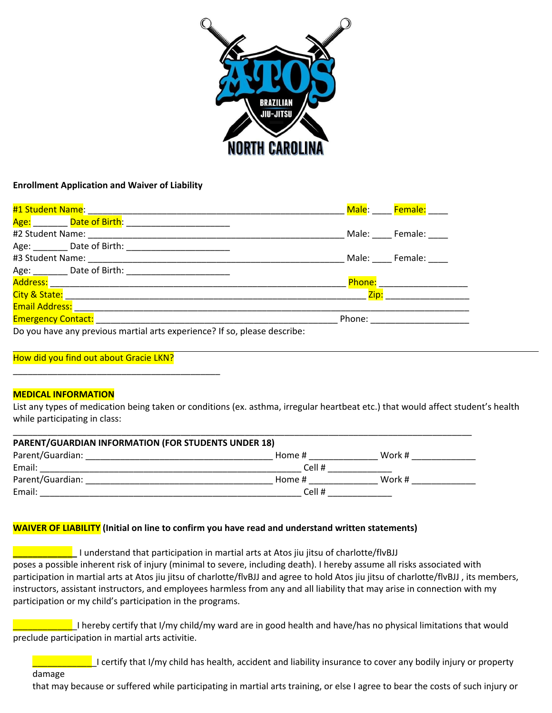

#### **Enrollment Application and Waiver of Liability**

|                                                                           | Male:       | Female:       |
|---------------------------------------------------------------------------|-------------|---------------|
|                                                                           |             |               |
| #2 Student Name:                                                          |             | Male: Female: |
|                                                                           |             |               |
|                                                                           |             | Male: Female: |
|                                                                           |             |               |
|                                                                           | Phone: ____ |               |
|                                                                           | Zip:        |               |
| <b>Email Address:</b>                                                     |             |               |
| <b>Emergency Contact:</b> Emergency Contact:                              | Phone:      |               |
| Do you have any previous martial arts experience? If so, please describe: |             |               |

#### How did you find out about Gracie LKN?

\_\_\_\_\_\_\_\_\_\_\_\_\_\_\_\_\_\_\_\_\_\_\_\_\_\_\_\_\_\_\_\_\_\_\_\_\_\_\_\_\_\_

#### **MEDICAL INFORMATION**

List any types of medication being taken or conditions (ex. asthma, irregular heartbeat etc.) that would affect student's health while participating in class:

| <b>PARENT/GUARDIAN INFORMATION (FOR STUDENTS UNDER 18)</b> |        |        |
|------------------------------------------------------------|--------|--------|
| Parent/Guardian:                                           | Home # | Work # |
| Email:                                                     | Cell # |        |
| Parent/Guardian:                                           | Home # | Work # |
| Email:                                                     | Cell # |        |

#### **WAIVER OF LIABILITY (Initial on line to confirm you have read and understand written statements)**

**\_\_\_\_\_\_\_\_\_\_\_\_\_** I understand that participation in martial arts at Atos jiu jitsu of charlotte/flvBJJ poses a possible inherent risk of injury (minimal to severe, including death). I hereby assume all risks associated with participation in martial arts at Atos jiu jitsu of charlotte/flvBJJ and agree to hold Atos jiu jitsu of charlotte/flvBJJ , its members, instructors, assistant instructors, and employees harmless from any and all liability that may arise in connection with my participation or my child's participation in the programs.

 $\blacksquare$  I hereby certify that I/my child/my ward are in good health and have/has no physical limitations that would preclude participation in martial arts activitie.

**Example 1** certify that I/my child has health, accident and liability insurance to cover any bodily injury or property

#### damage

that may because or suffered while participating in martial arts training, or else I agree to bear the costs of such injury or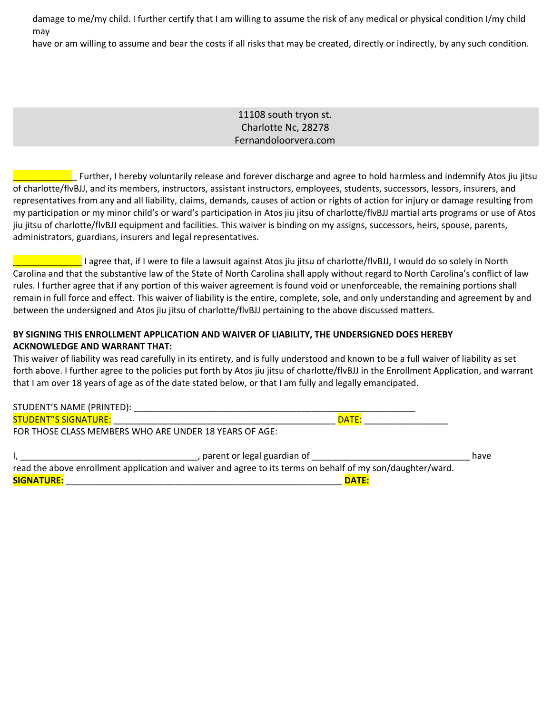damage to me/my child. I further certify that I am willing to assume the risk of any medical or physical condition I/my child may

have or am willing to assume and bear the costs if all risks that may be created, directly or indirectly, by any such condition.

## 11108 south tryon st. Charlotte Nc, 28278 Fernandoloorvera.com

\_\_\_\_\_\_\_\_\_\_\_\_\_ Further, I hereby voluntarily release and forever discharge and agree to hold harmless and indemnify Atos jiu jitsu of charlotte/flvBJJ, and its members, instructors, assistant instructors, employees, students, successors, lessors, insurers, and representatives from any and all liability, claims, demands, causes of action or rights of action for injury or damage resulting from my participation or my minor child's or ward's participation in Atos jiu jitsu of charlotte/flvBJJ martial arts programs or use of Atos jiu jitsu of charlotte/flvBJJ equipment and facilities. This waiver is binding on my assigns, successors, heirs, spouse, parents, administrators, guardians, insurers and legal representatives.

\_\_\_\_\_\_\_\_\_\_\_\_\_\_ I agree that, if I were to file a lawsuit against Atos jiu jitsu of charlotte/flvBJJ, I would do so solely in North Carolina and that the substantive law of the State of North Carolina shall apply without regard to North Carolina's conflict of law rules. I further agree that if any portion of this waiver agreement is found void or unenforceable, the remaining portions shall remain in full force and effect. This waiver of liability is the entire, complete, sole, and only understanding and agreement by and between the undersigned and Atos jiu jitsu of charlotte/flvBJJ pertaining to the above discussed matters.

#### **BY SIGNING THIS ENROLLMENT APPLICATION AND WAIVER OF LIABILITY, THE UNDERSIGNED DOES HEREBY ACKNOWLEDGE AND WARRANT THAT:**

This waiver of liability was read carefully in its entirety, and is fully understood and known to be a full waiver of liability as set forth above. I further agree to the policies put forth by Atos jiu jitsu of charlotte/flvBJJ in the Enrollment Application, and warrant that I am over 18 years of age as of the date stated below, or that I am fully and legally emancipated.

| STUDENT'S NAME (PRINTED):                                                                                  |              |
|------------------------------------------------------------------------------------------------------------|--------------|
| <b>STUDENT"S SIGNATURE:</b>                                                                                | DATE:        |
| FOR THOSE CLASS MEMBERS WHO ARE UNDER 18 YEARS OF AGE:                                                     |              |
|                                                                                                            |              |
| , parent or legal guardian of                                                                              | have         |
| read the above enrollment application and waiver and agree to its terms on behalf of my son/daughter/ward. |              |
| <b>SIGNATURE:</b>                                                                                          | <b>DATE:</b> |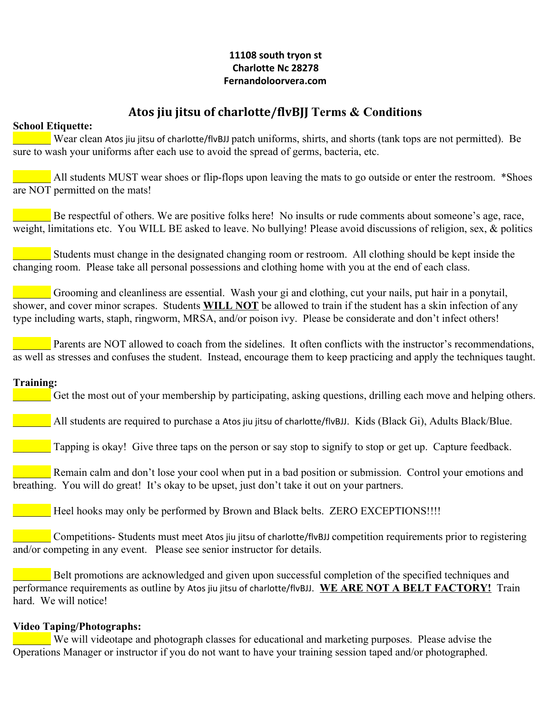## **11108 south tryon st Charlotte Nc 28278 Fernandoloorvera.com**

# **Atos jiu jitsu of charlotte/flvBJJ Terms & Conditions**

## **School Etiquette:**

Wear clean Atos jiu jitsu of charlotte/flvBJJ patch uniforms, shirts, and shorts (tank tops are not permitted). Be sure to wash your uniforms after each use to avoid the spread of germs, bacteria, etc.

All students MUST wear shoes or flip-flops upon leaving the mats to go outside or enter the restroom. \*Shoes are NOT permitted on the mats!

Be respectful of others. We are positive folks here! No insults or rude comments about someone's age, race, weight, limitations etc. You WILL BE asked to leave. No bullying! Please avoid discussions of religion, sex, & politics

\_\_\_\_\_\_\_ Students must change in the designated changing room or restroom. All clothing should be kept inside the changing room. Please take all personal possessions and clothing home with you at the end of each class.

\_\_\_\_\_\_\_ Grooming and cleanliness are essential. Wash your gi and clothing, cut your nails, put hair in a ponytail, shower, and cover minor scrapes. Students **WILL NOT** be allowed to train if the student has a skin infection of any type including warts, staph, ringworm, MRSA, and/or poison ivy. Please be considerate and don't infect others!

Parents are NOT allowed to coach from the sidelines. It often conflicts with the instructor's recommendations, as well as stresses and confuses the student. Instead, encourage them to keep practicing and apply the techniques taught.

## **Training:**

Get the most out of your membership by participating, asking questions, drilling each move and helping others.

\_\_\_\_\_\_\_ All students are required to purchase a Atos jiu jitsu of charlotte/flvBJJ. Kids (Black Gi), Adults Black/Blue.

**Tapping is okay!** Give three taps on the person or say stop to signify to stop or get up. Capture feedback.

Remain calm and don't lose your cool when put in a bad position or submission. Control your emotions and breathing. You will do great! It's okay to be upset, just don't take it out on your partners.

Heel hooks may only be performed by Brown and Black belts. ZERO EXCEPTIONS!!!!

\_\_\_\_\_\_\_ Competitions- Students must meet Atos jiu jitsu of charlotte/flvBJJ competition requirements prior to registering and/or competing in any event. Please see senior instructor for details.

Belt promotions are acknowledged and given upon successful completion of the specified techniques and performance requirements as outline by Atos jiu jitsu of charlotte/flvBJJ. **WE ARE NOT A BELT FACTORY!** Train hard We will notice!

## **Video Taping/Photographs:**

\_\_\_\_\_\_\_ We will videotape and photograph classes for educational and marketing purposes. Please advise the Operations Manager or instructor if you do not want to have your training session taped and/or photographed.